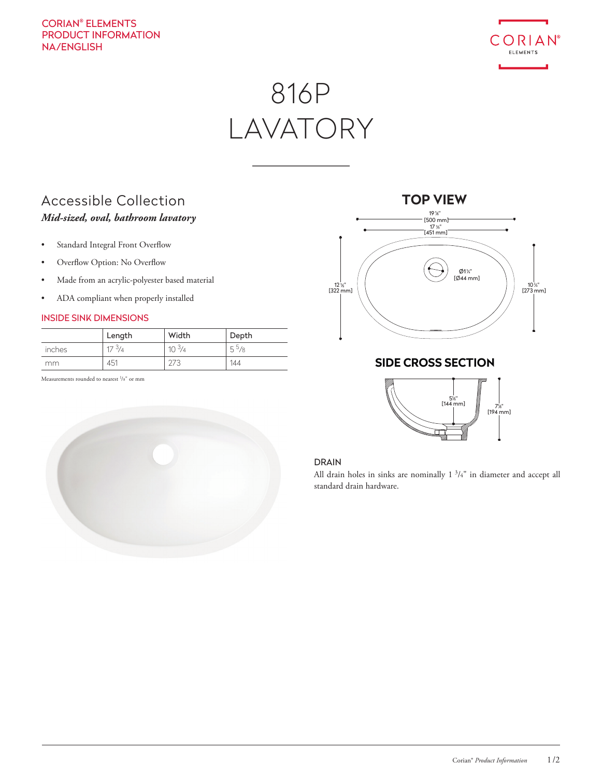### CORIAN® ELEMENTS PRODUCT INFORMATION NA/ENGLISH



# 816P LAVATORY

## Accessible Collection *Mid-sized, oval, bathroom lavatory*

- Standard Integral Front Overflow
- Overflow Option: No Overflow
- Made from an acrylic-polyester based material
- ADA compliant when properly installed

### INSIDE SINK DIMENSIONS

|        | Length          | Width      | Depth             |
|--------|-----------------|------------|-------------------|
| inches | $17\frac{3}{4}$ | $10^{3/4}$ | 5 <sup>5</sup> /8 |
| mm     | 451             |            | 144               |

Measurements rounded to nearest <sup>1</sup>/8" or mm





### **SIDE CROSS SECTION**



### DRAIN

All drain holes in sinks are nominally 1<sup>3</sup>/<sub>4</sub>" in diameter and accept all standard drain hardware.